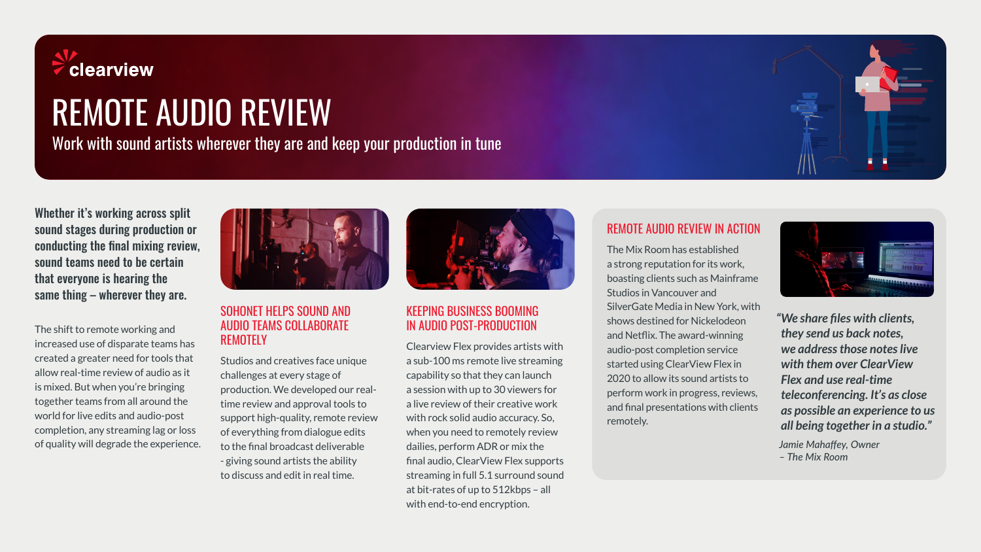

# REMOTE AUDIO REVIEW

Work with sound artists wherever they are and keep your production in tune

Whether it's working across split sound stages during production or conducting the final mixing review, sound teams need to be certain that everyone is hearing the same thing – wherever they are.

The shift to remote working and increased use of disparate teams has created a greater need for tools that allow real-time review of audio as it is mixed. But when you're bringing together teams from all around the world for live edits and audio-post completion, any streaming lag or loss of quality will degrade the experience.



#### SOHONET HELPS SOUND AND AUDIO TEAMS COLLABORATE REMOTELY

Studios and creatives face unique challenges at every stage of production. We developed our realtime review and approval tools to support high-quality, remote review of everything from dialogue edits to the final broadcast deliverable - giving sound artists the ability to discuss and edit in real time.



## KEEPING BUSINESS BOOMING IN AUDIO POST-PRODUCTION

Clearview Flex provides artists with a sub-100 ms remote live streaming capability so that they can launch a session with up to 30 viewers for a live review of their creative work with rock solid audio accuracy. So, when you need to remotely review dailies, perform ADR or mix the final audio, ClearView Flex supports streaming in full 5.1 surround sound at bit-rates of up to 512kbps – all with end-to-end encryption.

### REMOTE AUDIO REVIEW IN ACTION

The Mix Room has established a strong reputation for its work, boasting clients such as Mainframe Studios in Vancouver and SilverGate Media in New York, with shows destined for Nickelodeon and Netflix. The award-winning audio-post completion service started using ClearView Flex in 2020 to allow its sound artists to perform work in progress, reviews, and final presentations with clients remotely.



*"We share files with clients, they send us back notes,* **we** address those notes live *with them over ClearView Flex and use real-time teleconferencing. It's as close as possible an experience to us all being together in a studio."*

*Jamie Mahaffey, Owner – The Mix Room*